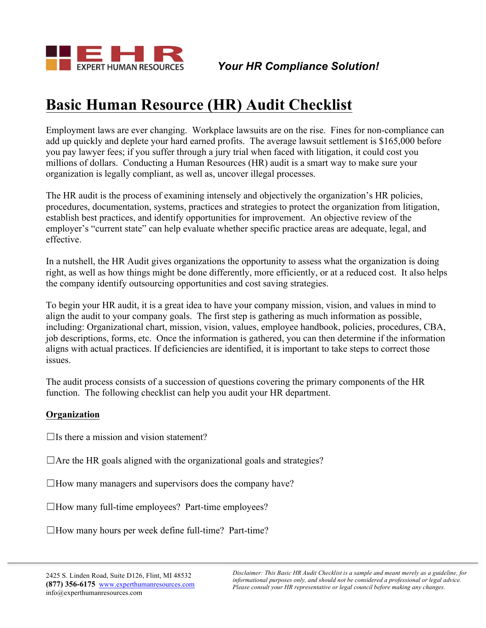

# **Basic Human Resource (HR) Audit Checklist**

Employment laws are ever changing. Workplace lawsuits are on the rise. Fines for non-compliance can add up quickly and deplete your hard earned profits. The average lawsuit settlement is \$165,000 before you pay lawyer fees; if you suffer through a jury trial when faced with litigation, it could cost you millions of dollars. Conducting a Human Resources (HR) audit is a smart way to make sure your organization is legally compliant, as well as, uncover illegal processes.

The HR audit is the process of examining intensely and objectively the organization's HR policies, procedures, documentation, systems, practices and strategies to protect the organization from litigation, establish best practices, and identify opportunities for improvement. An objective review of the employer's "current state" can help evaluate whether specific practice areas are adequate, legal, and effective.

In a nutshell, the HR Audit gives organizations the opportunity to assess what the organization is doing right, as well as how things might be done differently, more efficiently, or at a reduced cost. It also helps the company identify outsourcing opportunities and cost saving strategies.

To begin your HR audit, it is a great idea to have your company mission, vision, and values in mind to align the audit to your company goals. The first step is gathering as much information as possible, including: Organizational chart, mission, vision, values, employee handbook, policies, procedures, CBA, job descriptions, forms, etc. Once the information is gathered, you can then determine if the information aligns with actual practices. If deficiencies are identified, it is important to take steps to correct those issues.

The audit process consists of a succession of questions covering the primary components of the HR function. The following checklist can help you audit your HR department.

## **Organization**

 $\Box$ Is there a mission and vision statement?

 $\Box$  Are the HR goals aligned with the organizational goals and strategies?

 $\Box$  How many managers and supervisors does the company have?

 $\Box$  How many full-time employees? Part-time employees?

 $\Box$  How many hours per week define full-time? Part-time?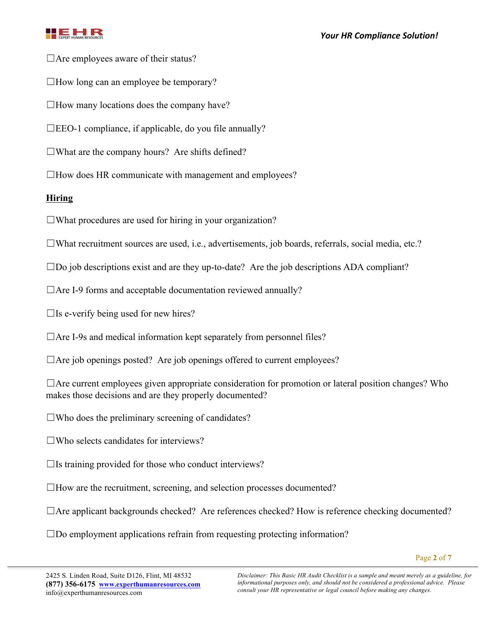

 $\Box$  Are employees aware of their status?

 $\Box$  How long can an employee be temporary?

 $\Box$  How many locations does the company have?

 $\square$ EEO-1 compliance, if applicable, do you file annually?

 $\Box$ What are the company hours? Are shifts defined?

 $\Box$  How does HR communicate with management and employees?

# **Hiring**

 $\Box$ What procedures are used for hiring in your organization?

☐What recruitment sources are used, i.e., advertisements, job boards, referrals, social media, etc.?

 $\square$ Do job descriptions exist and are they up-to-date? Are the job descriptions ADA compliant?

 $\Box$ Are I-9 forms and acceptable documentation reviewed annually?

 $\Box$ Is e-verify being used for new hires?

 $\Box$  Are I-9s and medical information kept separately from personnel files?

 $\Box$  Are job openings posted? Are job openings offered to current employees?

□Are current employees given appropriate consideration for promotion or lateral position changes? Who makes those decisions and are they properly documented?

 $\square$ Who does the preliminary screening of candidates?

 $\square$ Who selects candidates for interviews?

 $\Box$ Is training provided for those who conduct interviews?

 $\Box$  How are the recruitment, screening, and selection processes documented?

□Are applicant backgrounds checked? Are references checked? How is reference checking documented?

☐Do employment applications refrain from requesting protecting information?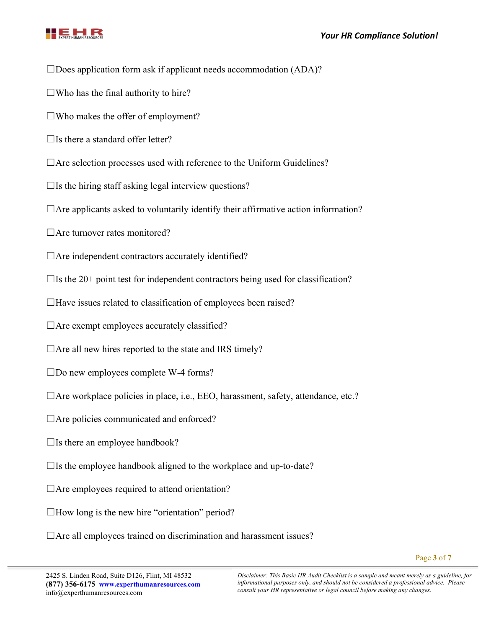



 $\square$ Does application form ask if applicant needs accommodation (ADA)?

 $\square$ Who has the final authority to hire?

 $\square$ Who makes the offer of employment?

 $\Box$ Is there a standard offer letter?

 $\Box$  Are selection processes used with reference to the Uniform Guidelines?

 $\Box$ Is the hiring staff asking legal interview questions?

 $\Box$  Are applicants asked to voluntarily identify their affirmative action information?

 $\Box$  Are turnover rates monitored?

 $\Box$  Are independent contractors accurately identified?

 $\Box$ Is the 20+ point test for independent contractors being used for classification?

 $\Box$  Have issues related to classification of employees been raised?

 $\Box$  Are exempt employees accurately classified?

 $\Box$  Are all new hires reported to the state and IRS timely?

 $\square$ Do new employees complete W-4 forms?

 $\Box$  Are workplace policies in place, i.e., EEO, harassment, safety, attendance, etc.?

 $\Box$  Are policies communicated and enforced?

 $\Box$ Is there an employee handbook?

 $\Box$ Is the employee handbook aligned to the workplace and up-to-date?

 $\Box$  Are employees required to attend orientation?

 $\Box$  How long is the new hire "orientation" period?

 $\Box$  Are all employees trained on discrimination and harassment issues?

*Disclaimer: This Basic HR Audit Checklist is a sample and meant merely as a guideline, for informational purposes only, and should not be considered a professional advice. Please consult your HR representative or legal council before making any changes.*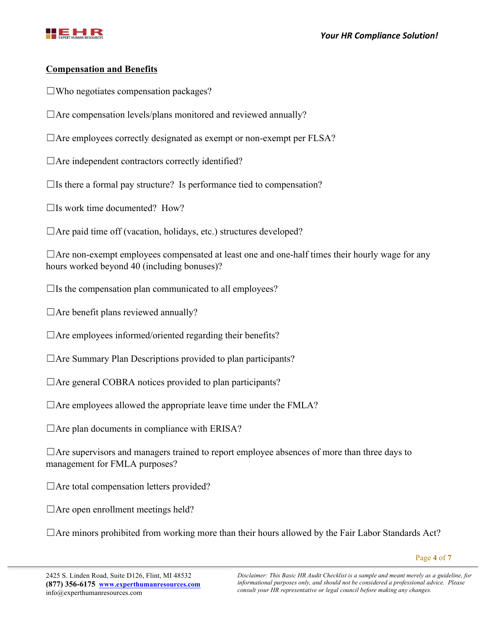

## **Compensation and Benefits**

- $\square$ Who negotiates compensation packages?
- $\Box$  Are compensation levels/plans monitored and reviewed annually?
- $\Box$  Are employees correctly designated as exempt or non-exempt per FLSA?
- $\Box$  Are independent contractors correctly identified?
- $\Box$ Is there a formal pay structure? Is performance tied to compensation?
- $\Box$ Is work time documented? How?
- $\Box$  Are paid time off (vacation, holidays, etc.) structures developed?

 $\Box$  Are non-exempt employees compensated at least one and one-half times their hourly wage for any hours worked beyond 40 (including bonuses)?

- $\Box$ Is the compensation plan communicated to all employees?
- □Are benefit plans reviewed annually?
- $\Box$  Are employees informed/oriented regarding their benefits?
- $\Box$  Are Summary Plan Descriptions provided to plan participants?
- $\Box$  Are general COBRA notices provided to plan participants?
- $\Box$  Are employees allowed the appropriate leave time under the FMLA?
- $\Box$  Are plan documents in compliance with ERISA?

 $\Box$  Are supervisors and managers trained to report employee absences of more than three days to management for FMLA purposes?

- $\Box$  Are total compensation letters provided?
- $\Box$  Are open enrollment meetings held?

 $\Box$  Are minors prohibited from working more than their hours allowed by the Fair Labor Standards Act?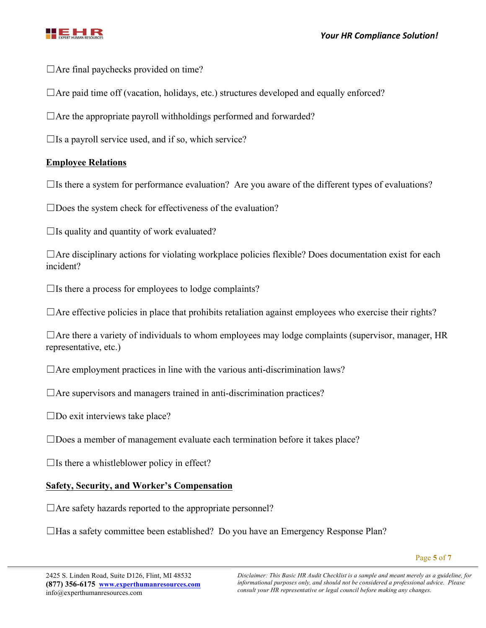

 $\Box$  Are final paychecks provided on time?

 $\Box$  Are paid time off (vacation, holidays, etc.) structures developed and equally enforced?

 $\Box$  Are the appropriate payroll withholdings performed and forwarded?

 $\Box$ Is a payroll service used, and if so, which service?

# **Employee Relations**

 $\Box$ Is there a system for performance evaluation? Are you aware of the different types of evaluations?

□Does the system check for effectiveness of the evaluation?

 $\Box$ Is quality and quantity of work evaluated?

 $\Box$ Are disciplinary actions for violating workplace policies flexible? Does documentation exist for each incident?

 $\Box$ Is there a process for employees to lodge complaints?

 $\Box$  Are effective policies in place that prohibits retaliation against employees who exercise their rights?

 $\Box$  Are there a variety of individuals to whom employees may lodge complaints (supervisor, manager, HR representative, etc.)

 $\Box$  Are employment practices in line with the various anti-discrimination laws?

 $\Box$  Are supervisors and managers trained in anti-discrimination practices?

 $\square$ Do exit interviews take place?

□Does a member of management evaluate each termination before it takes place?

 $\Box$ Is there a whistleblower policy in effect?

## **Safety, Security, and Worker's Compensation**

 $\Box$  Are safety hazards reported to the appropriate personnel?

☐Has a safety committee been established? Do you have an Emergency Response Plan?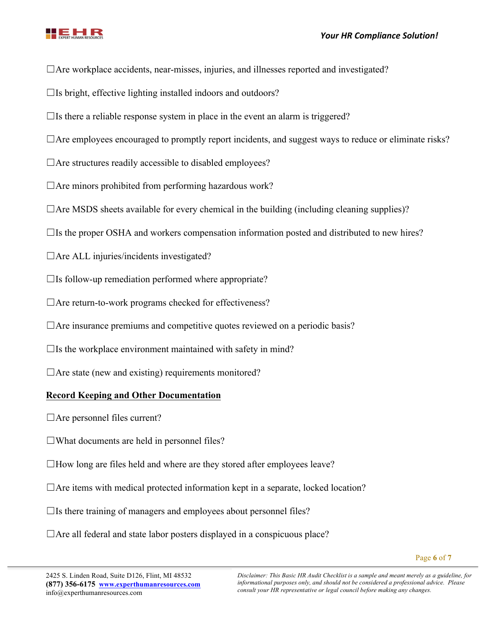

 $\Box$  Are workplace accidents, near-misses, injuries, and illnesses reported and investigated?

 $\Box$ Is bright, effective lighting installed indoors and outdoors?

 $\Box$ Is there a reliable response system in place in the event an alarm is triggered?

□Are employees encouraged to promptly report incidents, and suggest ways to reduce or eliminate risks?

 $\Box$  Are structures readily accessible to disabled employees?

 $\Box$  Are minors prohibited from performing hazardous work?

 $\Box$  Are MSDS sheets available for every chemical in the building (including cleaning supplies)?

 $\Box$ Is the proper OSHA and workers compensation information posted and distributed to new hires?

 $\Box$  Are ALL injuries/incidents investigated?

 $\Box$ Is follow-up remediation performed where appropriate?

 $\Box$ Are return-to-work programs checked for effectiveness?

 $\Box$  Are insurance premiums and competitive quotes reviewed on a periodic basis?

 $\Box$ Is the workplace environment maintained with safety in mind?

 $\Box$  Are state (new and existing) requirements monitored?

## **Record Keeping and Other Documentation**

 $\Box$  Are personnel files current?

 $\Box$ What documents are held in personnel files?

 $\Box$  How long are files held and where are they stored after employees leave?

 $\Box$  Are items with medical protected information kept in a separate, locked location?

 $\Box$ Is there training of managers and employees about personnel files?

 $\Box$  Are all federal and state labor posters displayed in a conspicuous place?